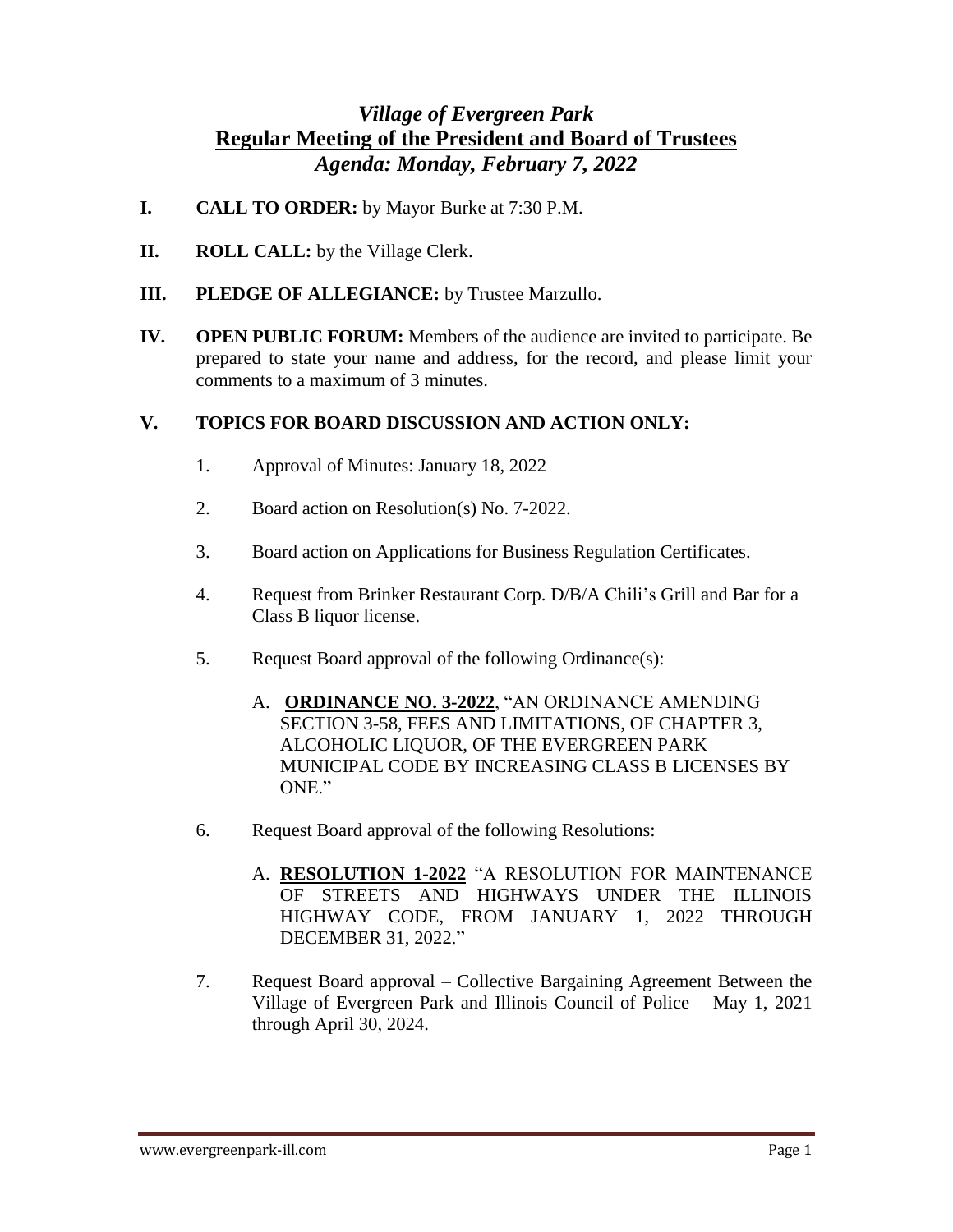## *Village of Evergreen Park*  **Regular Meeting of the President and Board of Trustees** *Agenda: Monday, February 7, 2022*

- **I. CALL TO ORDER:** by Mayor Burke at 7:30 P.M.
- **II. ROLL CALL:** by the Village Clerk.
- **III. PLEDGE OF ALLEGIANCE:** by Trustee Marzullo.
- **IV. OPEN PUBLIC FORUM:** Members of the audience are invited to participate. Be prepared to state your name and address, for the record, and please limit your comments to a maximum of 3 minutes.

## **V. TOPICS FOR BOARD DISCUSSION AND ACTION ONLY:**

- 1. Approval of Minutes: January 18, 2022
- 2. Board action on Resolution(s) No. 7-2022.
- 3. Board action on Applications for Business Regulation Certificates.
- 4. Request from Brinker Restaurant Corp. D/B/A Chili's Grill and Bar for a Class B liquor license.
- 5. Request Board approval of the following Ordinance(s):
	- A. **ORDINANCE NO. 3-2022**, "AN ORDINANCE AMENDING SECTION 3-58, FEES AND LIMITATIONS, OF CHAPTER 3, ALCOHOLIC LIQUOR, OF THE EVERGREEN PARK MUNICIPAL CODE BY INCREASING CLASS B LICENSES BY ONE."
- 6. Request Board approval of the following Resolutions:
	- A. **RESOLUTION 1-2022** "A RESOLUTION FOR MAINTENANCE OF STREETS AND HIGHWAYS UNDER THE ILLINOIS HIGHWAY CODE, FROM JANUARY 1, 2022 THROUGH DECEMBER 31, 2022."
- 7. Request Board approval Collective Bargaining Agreement Between the Village of Evergreen Park and Illinois Council of Police – May 1, 2021 through April 30, 2024.